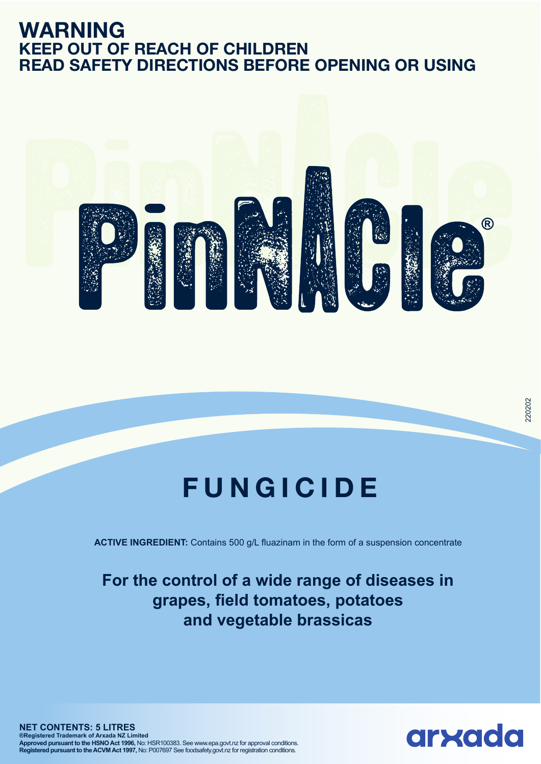## **WARNING KEEP OUT OF REACH OF CHILDREN READ SAFETY DIRECTIONS BEFORE OPENING OR USING**



# **FUNGICIDE**

**ACTIVE INGREDIENT:** Contains 500 g/L fluazinam in the form of a suspension concentrate

## **For the control of a wide range of diseases in grapes, field tomatoes, potatoes and vegetable brassicas**

**NET CONTENTS: 5 LITRES ®Registered Trademark of Arxada NZ Limited Approved pursuant to the HSNO Act 1996,** No: HSR100383. See www.epa.govt.nz for approval conditions. **Registered pursuant to the ACVM Act 1997,** No: P007697 See foodsafety.govt.nz for registration conditions.

arxada

220202